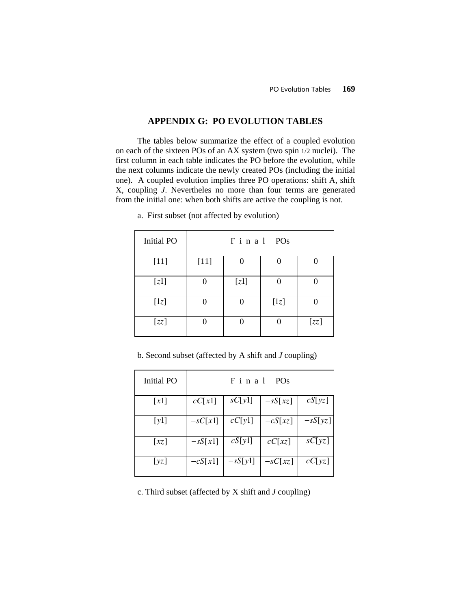## **APPENDIX G: PO EVOLUTION TABLES**

The tables below summarize the effect of a coupled evolution on each of the sixteen POs of an AX system (two spin 1/2 nuclei). The first column in each table indicates the PO before the evolution, while the next columns indicate the newly created POs (including the initial one). A coupled evolution implies three PO operations: shift A, shift X, coupling *J*. Nevertheles no more than four terms are generated from the initial one: when both shifts are active the coupling is not.

| <b>Initial PO</b> |        | Final POs |        |      |
|-------------------|--------|-----------|--------|------|
| $[11]$            | $[11]$ |           |        |      |
| [z1]              |        | [z1]      |        |      |
| [1z]              |        |           | $[1z]$ |      |
| [zz]              |        |           |        | [zz] |

a. First subset (not affected by evolution)

## b. Second subset (affected by A shift and *J* coupling)

| Initial PO          | Final<br>PO <sub>s</sub> |           |           |           |
|---------------------|--------------------------|-----------|-----------|-----------|
| $\lceil x_1 \rceil$ | cC[x1]                   | sC[y1]    | $-sS[xz]$ | cS[yz]    |
| [y1]                | $-sC[x1]$                | cC[y1]    | $-cS[xz]$ | $-sS[yz]$ |
| $\lceil xz \rceil$  | $-sS[x1]$                | cS[y1]    | cC[xz]    | sC[yz]    |
| [yz]                | $-cS[x1]$                | $-sS[y1]$ | $-sC[xz]$ | cC[yz]    |

c. Third subset (affected by X shift and *J* coupling)